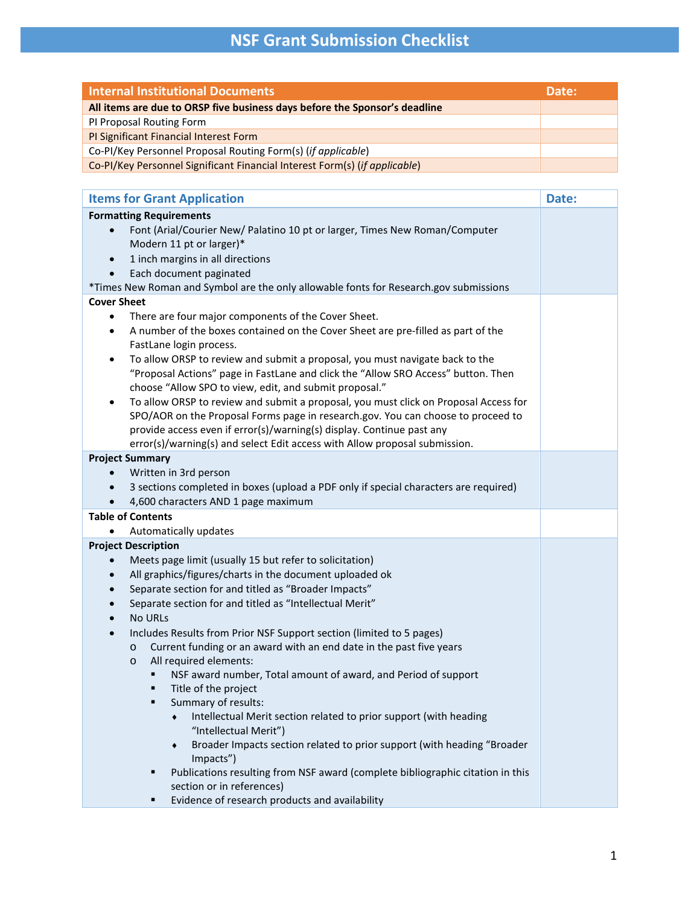## **NSF Grant Submission Checklist**

| <b>Internal Institutional Documents</b>                                                           | Date: |  |  |  |
|---------------------------------------------------------------------------------------------------|-------|--|--|--|
| All items are due to ORSP five business days before the Sponsor's deadline                        |       |  |  |  |
| PI Proposal Routing Form                                                                          |       |  |  |  |
| PI Significant Financial Interest Form                                                            |       |  |  |  |
| Co-PI/Key Personnel Proposal Routing Form(s) (if applicable)                                      |       |  |  |  |
| Co-PI/Key Personnel Significant Financial Interest Form(s) (if applicable)                        |       |  |  |  |
|                                                                                                   |       |  |  |  |
| <b>Items for Grant Application</b>                                                                | Date: |  |  |  |
| <b>Formatting Requirements</b>                                                                    |       |  |  |  |
| Font (Arial/Courier New/ Palatino 10 pt or larger, Times New Roman/Computer<br>$\bullet$          |       |  |  |  |
| Modern 11 pt or larger)*                                                                          |       |  |  |  |
| 1 inch margins in all directions<br>$\bullet$                                                     |       |  |  |  |
| Each document paginated<br>$\bullet$                                                              |       |  |  |  |
| *Times New Roman and Symbol are the only allowable fonts for Research.gov submissions             |       |  |  |  |
| <b>Cover Sheet</b>                                                                                |       |  |  |  |
| There are four major components of the Cover Sheet.<br>$\bullet$                                  |       |  |  |  |
| A number of the boxes contained on the Cover Sheet are pre-filled as part of the<br>$\bullet$     |       |  |  |  |
| FastLane login process.                                                                           |       |  |  |  |
| To allow ORSP to review and submit a proposal, you must navigate back to the<br>$\bullet$         |       |  |  |  |
| "Proposal Actions" page in FastLane and click the "Allow SRO Access" button. Then                 |       |  |  |  |
| choose "Allow SPO to view, edit, and submit proposal."                                            |       |  |  |  |
| To allow ORSP to review and submit a proposal, you must click on Proposal Access for<br>$\bullet$ |       |  |  |  |
| SPO/AOR on the Proposal Forms page in research.gov. You can choose to proceed to                  |       |  |  |  |
| provide access even if error(s)/warning(s) display. Continue past any                             |       |  |  |  |
| error(s)/warning(s) and select Edit access with Allow proposal submission.                        |       |  |  |  |
| <b>Project Summary</b>                                                                            |       |  |  |  |
| Written in 3rd person                                                                             |       |  |  |  |
| 3 sections completed in boxes (upload a PDF only if special characters are required)              |       |  |  |  |
| 4,600 characters AND 1 page maximum                                                               |       |  |  |  |
| <b>Table of Contents</b>                                                                          |       |  |  |  |
| Automatically updates                                                                             |       |  |  |  |
| <b>Project Description</b>                                                                        |       |  |  |  |
| Meets page limit (usually 15 but refer to solicitation)<br>$\bullet$                              |       |  |  |  |
| All graphics/figures/charts in the document uploaded ok<br>$\bullet$                              |       |  |  |  |
| Separate section for and titled as "Broader Impacts"                                              |       |  |  |  |
| Separate section for and titled as "Intellectual Merit"                                           |       |  |  |  |
| No URLs                                                                                           |       |  |  |  |
| Includes Results from Prior NSF Support section (limited to 5 pages)                              |       |  |  |  |
| Current funding or an award with an end date in the past five years<br>O                          |       |  |  |  |
| All required elements:<br>$\circ$                                                                 |       |  |  |  |
| NSF award number, Total amount of award, and Period of support                                    |       |  |  |  |
| Title of the project                                                                              |       |  |  |  |
| Summary of results:                                                                               |       |  |  |  |
| Intellectual Merit section related to prior support (with heading                                 |       |  |  |  |
| "Intellectual Merit")                                                                             |       |  |  |  |
| Broader Impacts section related to prior support (with heading "Broader<br>۰                      |       |  |  |  |
| Impacts")                                                                                         |       |  |  |  |
| Publications resulting from NSF award (complete bibliographic citation in this                    |       |  |  |  |
| section or in references)                                                                         |       |  |  |  |

**Exidence of research products and availability**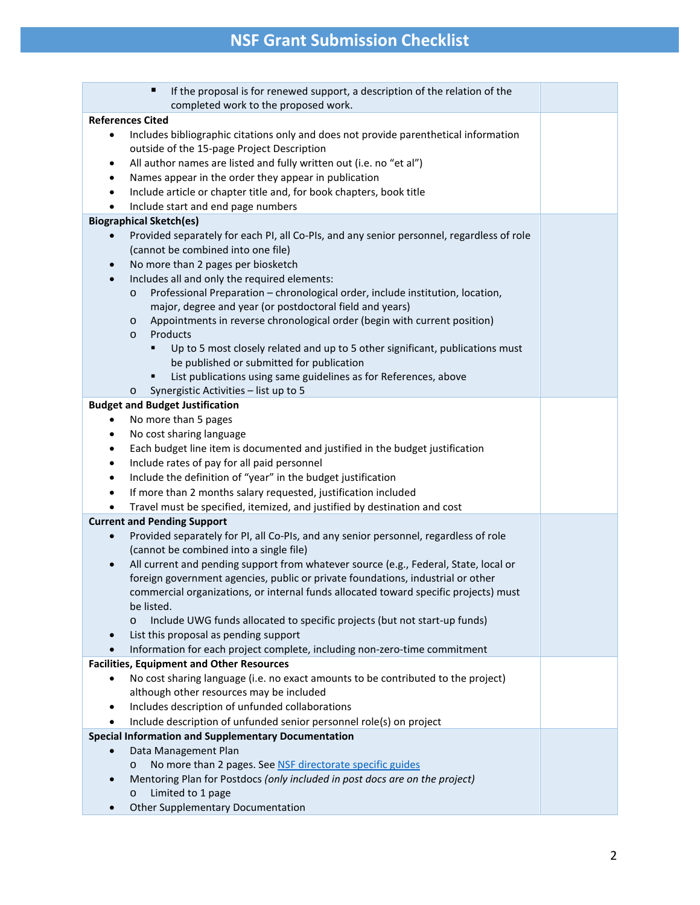## **NSF Grant Submission Checklist**

| п<br>If the proposal is for renewed support, a description of the relation of the                                                           |                                                                                                        |  |  |  |  |
|---------------------------------------------------------------------------------------------------------------------------------------------|--------------------------------------------------------------------------------------------------------|--|--|--|--|
| completed work to the proposed work.                                                                                                        |                                                                                                        |  |  |  |  |
| <b>References Cited</b>                                                                                                                     |                                                                                                        |  |  |  |  |
| Includes bibliographic citations only and does not provide parenthetical information<br>٠                                                   |                                                                                                        |  |  |  |  |
| outside of the 15-page Project Description                                                                                                  |                                                                                                        |  |  |  |  |
| All author names are listed and fully written out (i.e. no "et al")<br>٠                                                                    |                                                                                                        |  |  |  |  |
| Names appear in the order they appear in publication<br>٠                                                                                   |                                                                                                        |  |  |  |  |
| Include article or chapter title and, for book chapters, book title<br>٠                                                                    |                                                                                                        |  |  |  |  |
| Include start and end page numbers<br>$\bullet$                                                                                             |                                                                                                        |  |  |  |  |
| <b>Biographical Sketch(es)</b>                                                                                                              |                                                                                                        |  |  |  |  |
|                                                                                                                                             | Provided separately for each PI, all Co-PIs, and any senior personnel, regardless of role<br>$\bullet$ |  |  |  |  |
|                                                                                                                                             | (cannot be combined into one file)                                                                     |  |  |  |  |
| No more than 2 pages per biosketch<br>$\bullet$                                                                                             |                                                                                                        |  |  |  |  |
| Includes all and only the required elements:<br>$\bullet$<br>Professional Preparation - chronological order, include institution, location, |                                                                                                        |  |  |  |  |
| $\circ$<br>major, degree and year (or postdoctoral field and years)                                                                         |                                                                                                        |  |  |  |  |
| Appointments in reverse chronological order (begin with current position)<br>$\circ$                                                        |                                                                                                        |  |  |  |  |
| Products<br>$\circ$                                                                                                                         |                                                                                                        |  |  |  |  |
| Up to 5 most closely related and up to 5 other significant, publications must<br>٠                                                          |                                                                                                        |  |  |  |  |
| be published or submitted for publication                                                                                                   |                                                                                                        |  |  |  |  |
| List publications using same guidelines as for References, above<br>٠                                                                       |                                                                                                        |  |  |  |  |
| Synergistic Activities - list up to 5<br>$\circ$                                                                                            |                                                                                                        |  |  |  |  |
| <b>Budget and Budget Justification</b>                                                                                                      |                                                                                                        |  |  |  |  |
| No more than 5 pages                                                                                                                        |                                                                                                        |  |  |  |  |
| No cost sharing language<br>٠                                                                                                               |                                                                                                        |  |  |  |  |
| Each budget line item is documented and justified in the budget justification<br>٠                                                          |                                                                                                        |  |  |  |  |
| Include rates of pay for all paid personnel<br>$\bullet$                                                                                    |                                                                                                        |  |  |  |  |
| Include the definition of "year" in the budget justification<br>٠                                                                           |                                                                                                        |  |  |  |  |
| If more than 2 months salary requested, justification included<br>٠                                                                         |                                                                                                        |  |  |  |  |
| Travel must be specified, itemized, and justified by destination and cost<br>$\bullet$                                                      |                                                                                                        |  |  |  |  |
| <b>Current and Pending Support</b>                                                                                                          |                                                                                                        |  |  |  |  |
| Provided separately for PI, all Co-PIs, and any senior personnel, regardless of role<br>$\bullet$                                           |                                                                                                        |  |  |  |  |
| (cannot be combined into a single file)                                                                                                     |                                                                                                        |  |  |  |  |
| All current and pending support from whatever source (e.g., Federal, State, local or<br>$\bullet$                                           |                                                                                                        |  |  |  |  |
| foreign government agencies, public or private foundations, industrial or other                                                             |                                                                                                        |  |  |  |  |
| commercial organizations, or internal funds allocated toward specific projects) must                                                        |                                                                                                        |  |  |  |  |
| be listed.                                                                                                                                  |                                                                                                        |  |  |  |  |
| Include UWG funds allocated to specific projects (but not start-up funds)                                                                   |                                                                                                        |  |  |  |  |
| List this proposal as pending support<br>$\bullet$                                                                                          |                                                                                                        |  |  |  |  |
| Information for each project complete, including non-zero-time commitment                                                                   |                                                                                                        |  |  |  |  |
| <b>Facilities, Equipment and Other Resources</b>                                                                                            |                                                                                                        |  |  |  |  |
| No cost sharing language (i.e. no exact amounts to be contributed to the project)                                                           |                                                                                                        |  |  |  |  |
| although other resources may be included                                                                                                    |                                                                                                        |  |  |  |  |
| Includes description of unfunded collaborations<br>٠                                                                                        |                                                                                                        |  |  |  |  |
| Include description of unfunded senior personnel role(s) on project<br>$\bullet$                                                            |                                                                                                        |  |  |  |  |
| <b>Special Information and Supplementary Documentation</b>                                                                                  |                                                                                                        |  |  |  |  |
| Data Management Plan                                                                                                                        |                                                                                                        |  |  |  |  |
| No more than 2 pages. See NSF directorate specific guides<br>$\circ$                                                                        |                                                                                                        |  |  |  |  |
| Mentoring Plan for Postdocs (only included in post docs are on the project)<br>$\bullet$                                                    |                                                                                                        |  |  |  |  |
| Limited to 1 page<br>$\circ$                                                                                                                |                                                                                                        |  |  |  |  |
| <b>Other Supplementary Documentation</b>                                                                                                    |                                                                                                        |  |  |  |  |